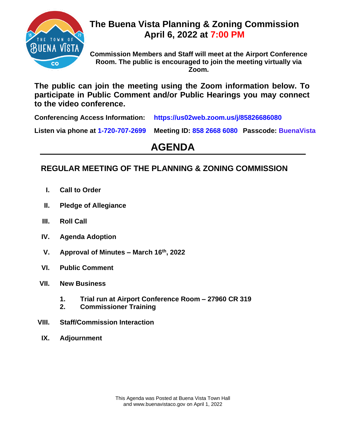

## **The Buena Vista Planning & Zoning Commission April 6, 2022 at 7:00 PM**

**Commission Members and Staff will meet at the Airport Conference Room. The public is encouraged to join the meeting virtually via Zoom.** 

**The public can join the meeting using the Zoom information below. To participate in Public Comment and/or Public Hearings you may connect to the video conference.**

**Conferencing Access Information: https://us02web.zoom.us/j/85826686080**

**Listen via phone at 1-720-707-2699 Meeting ID: 858 2668 6080 Passcode: BuenaVista**

# **AGENDA**

### **REGULAR MEETING OF THE PLANNING & ZONING COMMISSION**

- **I. Call to Order**
- **II. Pledge of Allegiance**
- **III. Roll Call**
- **IV. Agenda Adoption**
- **V. Approval of Minutes – March 16th, 2022**
- **VI. Public Comment**
- **VII. New Business**
	- **1. Trial run at Airport Conference Room – 27960 CR 319**
	- **2. Commissioner Training**
- **VIII. Staff/Commission Interaction**
- **IX. Adjournment**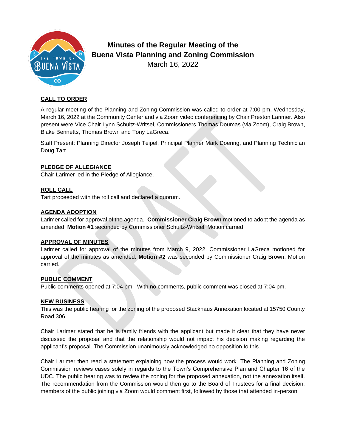

# **Minutes of the Regular Meeting of the Buena Vista Planning and Zoning Commission**

March 16, 2022

#### **CALL TO ORDER**

A regular meeting of the Planning and Zoning Commission was called to order at 7:00 pm, Wednesday, March 16, 2022 at the Community Center and via Zoom video conferencing by Chair Preston Larimer. Also present were Vice Chair Lynn Schultz-Writsel, Commissioners Thomas Doumas (via Zoom), Craig Brown, Blake Bennetts, Thomas Brown and Tony LaGreca.

Staff Present: Planning Director Joseph Teipel, Principal Planner Mark Doering, and Planning Technician Doug Tart.

#### **PLEDGE OF ALLEGIANCE**

Chair Larimer led in the Pledge of Allegiance.

#### **ROLL CALL**

Tart proceeded with the roll call and declared a quorum.

#### **AGENDA ADOPTION**

Larimer called for approval of the agenda. **Commissioner Craig Brown** motioned to adopt the agenda as amended, **Motion #1** seconded by Commissioner Schultz-Writsel. Motion carried.

#### **APPROVAL OF MINUTES**

Larimer called for approval of the minutes from March 9, 2022. Commissioner LaGreca motioned for approval of the minutes as amended. **Motion #2** was seconded by Commissioner Craig Brown. Motion carried.

#### **PUBLIC COMMENT**

Public comments opened at 7:04 pm. With no comments, public comment was closed at 7:04 pm.

#### **NEW BUSINESS**

This was the public hearing for the zoning of the proposed Stackhaus Annexation located at 15750 County Road 306.

Chair Larimer stated that he is family friends with the applicant but made it clear that they have never discussed the proposal and that the relationship would not impact his decision making regarding the applicant's proposal. The Commission unanimously acknowledged no opposition to this.

Chair Larimer then read a statement explaining how the process would work. The Planning and Zoning Commission reviews cases solely in regards to the Town's Comprehensive Plan and Chapter 16 of the UDC. The public hearing was to review the zoning for the proposed annexation, not the annexation itself. The recommendation from the Commission would then go to the Board of Trustees for a final decision. members of the public joining via Zoom would comment first, followed by those that attended in-person.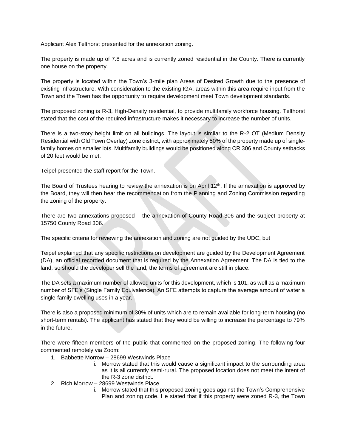Applicant Alex Telthorst presented for the annexation zoning.

The property is made up of 7.8 acres and is currently zoned residential in the County. There is currently one house on the property.

The property is located within the Town's 3-mile plan Areas of Desired Growth due to the presence of existing infrastructure. With consideration to the existing IGA, areas within this area require input from the Town and the Town has the opportunity to require development meet Town development standards.

The proposed zoning is R-3, High-Density residential, to provide multifamily workforce housing. Telthorst stated that the cost of the required infrastructure makes it necessary to increase the number of units.

There is a two-story height limit on all buildings. The layout is similar to the R-2 OT (Medium Density Residential with Old Town Overlay) zone district, with approximately 50% of the property made up of singlefamily homes on smaller lots. Multifamily buildings would be positioned along CR 306 and County setbacks of 20 feet would be met.

Teipel presented the staff report for the Town.

The Board of Trustees hearing to review the annexation is on April  $12<sup>th</sup>$ . If the annexation is approved by the Board, they will then hear the recommendation from the Planning and Zoning Commission regarding the zoning of the property.

There are two annexations proposed – the annexation of County Road 306 and the subject property at 15750 County Road 306.

The specific criteria for reviewing the annexation and zoning are not guided by the UDC, but

Teipel explained that any specific restrictions on development are guided by the Development Agreement (DA), an official recorded document that is required by the Annexation Agreement. The DA is tied to the land, so should the developer sell the land, the terms of agreement are still in place.

The DA sets a maximum number of allowed units for this development, which is 101, as well as a maximum number of SFE's (Single Family Equivalence). An SFE attempts to capture the average amount of water a single-family dwelling uses in a year.

There is also a proposed minimum of 30% of units which are to remain available for long-term housing (no short-term rentals). The applicant has stated that they would be willing to increase the percentage to 79% in the future.

There were fifteen members of the public that commented on the proposed zoning. The following four commented remotely via Zoom:

- 1. Babbette Morrow 28699 Westwinds Place
	- i. Morrow stated that this would cause a significant impact to the surrounding area as it is all currently semi-rural. The proposed location does not meet the intent of the R-3 zone district.
- 2. Rich Morrow 28699 Westwinds Place
	- i. Morrow stated that this proposed zoning goes against the Town's Comprehensive Plan and zoning code. He stated that if this property were zoned R-3, the Town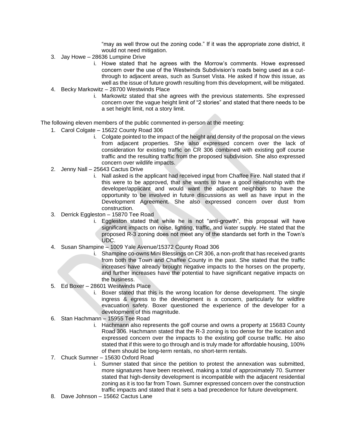"may as well throw out the zoning code." If it was the appropriate zone district, it would not need mitigation.

- 3. Jay Howe 28636 Lumpine Drive
	- i. Howe stated that he agrees with the Morrow's comments. Howe expressed concern over the use of the Westwinds Subdivision's roads being used as a cutthrough to adjacent areas, such as Sunset Vista. He asked if how this issue, as well as the issue of future growth resulting from this development, will be mitigated.
- 4. Becky Markowitz 28700 Westwinds Place
	- i. Markowitz stated that she agrees with the previous statements. She expressed concern over the vague height limit of "2 stories" and stated that there needs to be a set height limit, not a story limit.

The following eleven members of the public commented in-person at the meeting:

- 1. Carol Colgate 15622 County Road 306
	- i. Colgate pointed to the impact of the height and density of the proposal on the views from adjacent properties. She also expressed concern over the lack of consideration for existing traffic on CR 306 combined with existing golf course traffic and the resulting traffic from the proposed subdivision. She also expressed concern over wildlife impacts.
- 2. Jenny Nall 25643 Cactus Drive
	- i. Nall asked is the applicant had received input from Chaffee Fire. Nall stated that if this were to be approved, that she wants to have a good relationship with the developer/applicant and would want the adjacent neighbors to have the opportunity to be involved in future discussions as well as have input in the Development Agreement. She also expressed concern over dust from construction.
- 3. Derrick Eggleston 15870 Tee Road
	- i. Eggleston stated that while he is not "anti-growth", this proposal will have significant impacts on noise, lighting, traffic, and water supply. He stated that the proposed R-3 zoning does not meet any of the standards set forth in the Town's UDC.
- 4. Susan Shampine 1009 Yale Avenue/15372 County Road 306
	- i. Shampine co-owns Mini Blessings on CR 306, a non-profit that has received grants from both the Town and Chaffee County in the past. She stated that the traffic increases have already brought negative impacts to the horses on the property, and further increases have the potential to have significant negative impacts on the business.
- 5. Ed Boxer 28601 Westwinds Place
	- i. Boxer stated that this is the wrong location for dense development. The single ingress & egress to the development is a concern, particularly for wildfire evacuation safety. Boxer questioned the experience of the developer for a development of this magnitude.
- 6. Stan Hachmann 15955 Tee Road
	- i. Hachmann also represents the golf course and owns a property at 15683 County Road 306. Hachmann stated that the R-3 zoning is too dense for the location and expressed concern over the impacts to the existing golf course traffic. He also stated that if this were to go through and is truly made for affordable housing, 100% of them should be long-term rentals, no short-term rentals.
- 7. Chuck Sumner 15630 Oxford Road
	- i. Sumner stated that since the petition to protest the annexation was submitted, more signatures have been received, making a total of approximately 70. Sumner stated that high-density development is incompatible with the adjacent residential zoning as it is too far from Town. Sumner expressed concern over the construction traffic impacts and stated that it sets a bad precedence for future development.
- 8. Dave Johnson 15662 Cactus Lane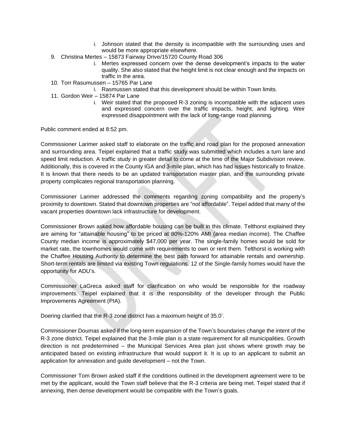- i. Johnson stated that the density is incompatible with the surrounding uses and would be more appropriate elsewhere.
- 9. Christina Mertes 15873 Fairway Drive/15720 County Road 306
	- i. Mertes expressed concern over the dense development's impacts to the water quality. She also stated that the height limit is not clear enough and the impacts on traffic in the area.
- 10. Torr Rasumussen 15765 Par Lane
	- i. Rasmussen stated that this development should be within Town limits.
- 11. Gordon Weir 15874 Par Lane
	- i. Weir stated that the proposed R-3 zoning is incompatible with the adjacent uses and expressed concern over the traffic impacts, height, and lighting. Weir expressed disappointment with the lack of long-range road planning.

Public comment ended at 8:52 pm.

Commissioner Larimer asked staff to elaborate on the traffic and road plan for the proposed annexation and surrounding area. Teipel explained that a traffic study was submitted which includes a turn lane and speed limit reduction. A traffic study in greater detail to come at the time of the Major Subdivision review. Additionally, this is covered in the County IGA and 3-mile plan, which has had issues historically to finalize. It is known that there needs to be an updated transportation master plan, and the surrounding private property complicates regional transportation planning.

Commissioner Larimer addressed the comments regarding zoning compatibility and the property's proximity to downtown. Stated that downtown properties are "not affordable". Teipel added that many of the vacant properties downtown lack infrastructure for development.

Commissioner Brown asked how affordable housing can be built in this climate. Telthorst explained they are aiming for "attainable housing" to be priced at 80%-120% AMI (area median income). The Chaffee County median income is approximately \$47,000 per year. The single-family homes would be sold for market rate, the townhomes would come with requirements to own or rent them. Telthorst is working with the Chaffee Housing Authority to determine the best path forward for attainable rentals and ownership. Short-term rentals are limited via existing Town regulations. 12 of the Single-family homes would have the opportunity for ADU's.

Commissioner LaGreca asked staff for clarification on who would be responsible for the roadway improvements. Teipel explained that it is the responsibility of the developer through the Public Improvements Agreement (PIA).

Doering clarified that the R-3 zone district has a maximum height of 35.0'.

Commissioner Doumas asked if the long-term expansion of the Town's boundaries change the intent of the R-3 zone district. Teipel explained that the 3-mile plan is a state requirement for all municipalities. Growth direction is not predetermined – the Municipal Services Area plan just shows where growth may be anticipated based on existing infrastructure that would support it. It is up to an applicant to submit an application for annexation and guide development – not the Town.

Commissioner Tom Brown asked staff if the conditions outlined in the development agreement were to be met by the applicant, would the Town staff believe that the R-3 criteria are being met. Teipel stated that if annexing, then dense development would be compatible with the Town's goals.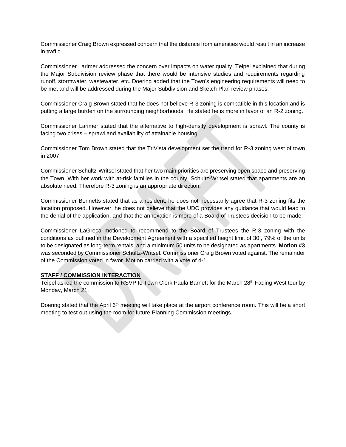Commissioner Craig Brown expressed concern that the distance from amenities would result in an increase in traffic.

Commissioner Larimer addressed the concern over impacts on water quality. Teipel explained that during the Major Subdivision review phase that there would be intensive studies and requirements regarding runoff, stormwater, wastewater, etc. Doering added that the Town's engineering requirements will need to be met and will be addressed during the Major Subdivision and Sketch Plan review phases.

Commissioner Craig Brown stated that he does not believe R-3 zoning is compatible in this location and is putting a large burden on the surrounding neighborhoods. He stated he is more in favor of an R-2 zoning.

Commissioner Larimer stated that the alternative to high-density development is sprawl. The county is facing two crises – sprawl and availability of attainable housing.

Commissioner Tom Brown stated that the TriVista development set the trend for R-3 zoning west of town in 2007.

Commissioner Schultz-Writsel stated that her two main priorities are preserving open space and preserving the Town. With her work with at-risk families in the county, Schultz-Writsel stated that apartments are an absolute need. Therefore R-3 zoning is an appropriate direction.

Commissioner Bennetts stated that as a resident, he does not necessarily agree that R-3 zoning fits the location proposed. However, he does not believe that the UDC provides any guidance that would lead to the denial of the application, and that the annexation is more of a Board of Trustees decision to be made.

Commissioner LaGreca motioned to recommend to the Board of Trustees the R-3 zoning with the conditions as outlined in the Development Agreement with a specified height limit of 30', 79% of the units to be designated as long-term rentals, and a minimum 50 units to be designated as apartments. **Motion #3**  was seconded by Commissioner Schultz-Writsel. Commissioner Craig Brown voted against. The remainder of the Commission voted in favor. Motion carried with a vote of 4-1.

#### **STAFF / COMMISSION INTERACTION**

Teipel asked the commission to RSVP to Town Clerk Paula Barnett for the March 28<sup>th</sup> Fading West tour by Monday, March 21.

Doering stated that the April 6<sup>th</sup> meeting will take place at the airport conference room. This will be a short meeting to test out using the room for future Planning Commission meetings.